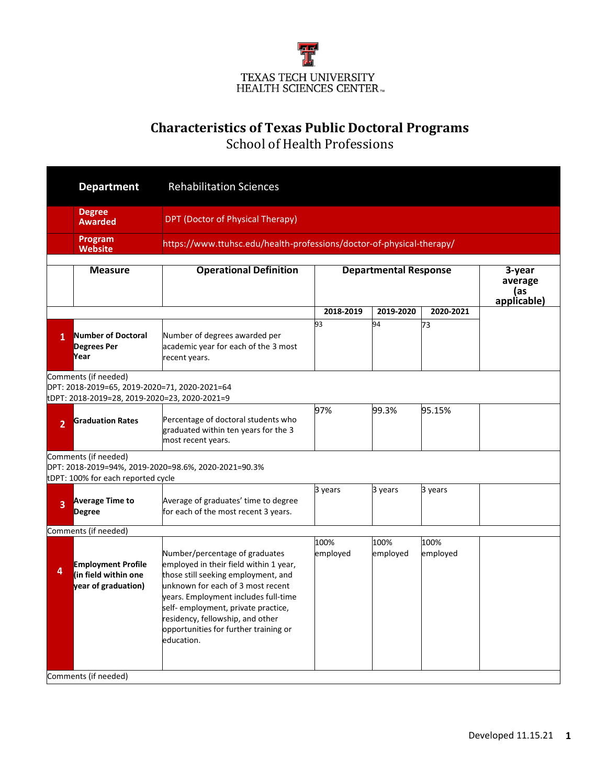

## **Characteristics of Texas Public Doctoral Programs**

School of Health Professions

|                | <b>Department</b>                                                                                                      | <b>Rehabilitation Sciences</b>                                                                                                                                                                                                                                                                                                 |                                                                       |                              |                  |  |  |  |  |  |
|----------------|------------------------------------------------------------------------------------------------------------------------|--------------------------------------------------------------------------------------------------------------------------------------------------------------------------------------------------------------------------------------------------------------------------------------------------------------------------------|-----------------------------------------------------------------------|------------------------------|------------------|--|--|--|--|--|
|                | <b>Degree</b><br><b>Awarded</b>                                                                                        | DPT (Doctor of Physical Therapy)                                                                                                                                                                                                                                                                                               |                                                                       |                              |                  |  |  |  |  |  |
|                | Program<br><b>Website</b>                                                                                              |                                                                                                                                                                                                                                                                                                                                | https://www.ttuhsc.edu/health-professions/doctor-of-physical-therapy/ |                              |                  |  |  |  |  |  |
|                | <b>Measure</b>                                                                                                         | <b>Operational Definition</b>                                                                                                                                                                                                                                                                                                  |                                                                       | <b>Departmental Response</b> |                  |  |  |  |  |  |
|                |                                                                                                                        |                                                                                                                                                                                                                                                                                                                                | 2018-2019                                                             | 2019-2020                    | 2020-2021        |  |  |  |  |  |
| $\mathbf{1}$   | Number of Doctoral<br><b>Degrees Per</b><br>Year                                                                       | Number of degrees awarded per<br>academic year for each of the 3 most<br>recent years.                                                                                                                                                                                                                                         | 93                                                                    | 94                           | 73               |  |  |  |  |  |
|                | Comments (if needed)<br>DPT: 2018-2019=65, 2019-2020=71, 2020-2021=64<br>tDPT: 2018-2019=28, 2019-2020=23, 2020-2021=9 |                                                                                                                                                                                                                                                                                                                                |                                                                       |                              |                  |  |  |  |  |  |
| $\overline{2}$ | <b>Graduation Rates</b>                                                                                                | Percentage of doctoral students who<br>graduated within ten years for the 3<br>most recent years.                                                                                                                                                                                                                              | 97%                                                                   | 99.3%                        | 95.15%           |  |  |  |  |  |
|                | Comments (if needed)<br>tDPT: 100% for each reported cycle                                                             | DPT: 2018-2019=94%, 2019-2020=98.6%, 2020-2021=90.3%                                                                                                                                                                                                                                                                           |                                                                       |                              |                  |  |  |  |  |  |
| 3              | <b>Average Time to</b><br><b>Degree</b>                                                                                | Average of graduates' time to degree<br>for each of the most recent 3 years.                                                                                                                                                                                                                                                   | 3 years                                                               | 3 years                      | 3 years          |  |  |  |  |  |
|                | Comments (if needed)                                                                                                   |                                                                                                                                                                                                                                                                                                                                |                                                                       |                              |                  |  |  |  |  |  |
| 4              | <b>Employment Profile</b><br>(in field within one<br>year of graduation)                                               | Number/percentage of graduates<br>employed in their field within 1 year,<br>those still seeking employment, and<br>unknown for each of 3 most recent<br>years. Employment includes full-time<br>self- employment, private practice,<br>residency, fellowship, and other<br>opportunities for further training or<br>education. | 100%<br>employed                                                      | 100%<br>employed             | 100%<br>employed |  |  |  |  |  |
|                | Comments (if needed)                                                                                                   |                                                                                                                                                                                                                                                                                                                                |                                                                       |                              |                  |  |  |  |  |  |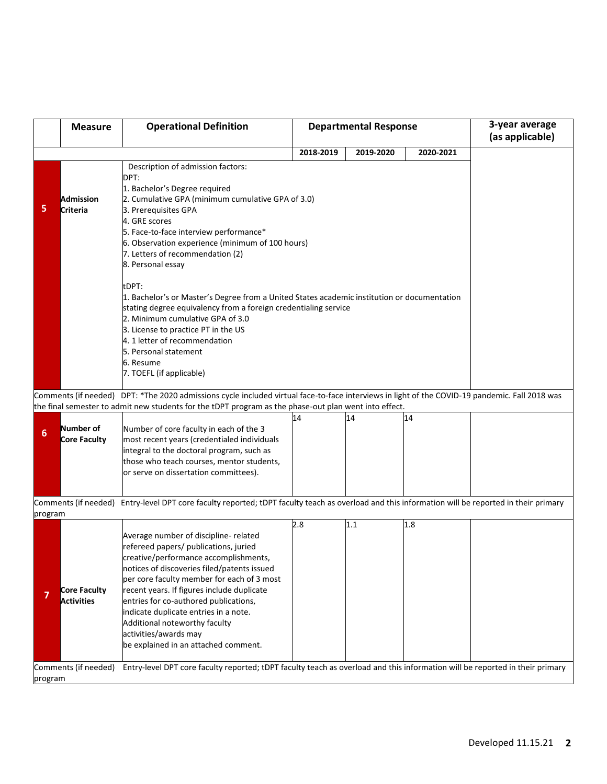|                 | <b>Measure</b>                                                                                                                                                                                                                                                                                                                                                                                                                                                                                                                                                                                                                                                                                                    | <b>Operational Definition</b>                                                                                                                                                                                                                                                                                                                                                                                                                          |           | <b>Departmental Response</b> | 3-year average<br>(as applicable) |  |
|-----------------|-------------------------------------------------------------------------------------------------------------------------------------------------------------------------------------------------------------------------------------------------------------------------------------------------------------------------------------------------------------------------------------------------------------------------------------------------------------------------------------------------------------------------------------------------------------------------------------------------------------------------------------------------------------------------------------------------------------------|--------------------------------------------------------------------------------------------------------------------------------------------------------------------------------------------------------------------------------------------------------------------------------------------------------------------------------------------------------------------------------------------------------------------------------------------------------|-----------|------------------------------|-----------------------------------|--|
|                 |                                                                                                                                                                                                                                                                                                                                                                                                                                                                                                                                                                                                                                                                                                                   |                                                                                                                                                                                                                                                                                                                                                                                                                                                        | 2018-2019 | 2019-2020                    | 2020-2021                         |  |
| 5               | Description of admission factors:<br>DPT:<br>1. Bachelor's Degree required<br>Admission<br>2. Cumulative GPA (minimum cumulative GPA of 3.0)<br>Criteria<br>3. Prerequisites GPA<br>4. GRE scores<br>5. Face-to-face interview performance*<br>6. Observation experience (minimum of 100 hours)<br>7. Letters of recommendation (2)<br>8. Personal essay<br>tDPT:<br>1. Bachelor's or Master's Degree from a United States academic institution or documentation<br>stating degree equivalency from a foreign credentialing service<br>2. Minimum cumulative GPA of 3.0<br>3. License to practice PT in the US<br>4. 1 letter of recommendation<br>5. Personal statement<br>6. Resume<br>7. TOEFL (if applicable) |                                                                                                                                                                                                                                                                                                                                                                                                                                                        |           |                              |                                   |  |
|                 |                                                                                                                                                                                                                                                                                                                                                                                                                                                                                                                                                                                                                                                                                                                   | Comments (if needed) DPT: *The 2020 admissions cycle included virtual face-to-face interviews in light of the COVID-19 pandemic. Fall 2018 was                                                                                                                                                                                                                                                                                                         |           |                              |                                   |  |
|                 |                                                                                                                                                                                                                                                                                                                                                                                                                                                                                                                                                                                                                                                                                                                   | the final semester to admit new students for the tDPT program as the phase-out plan went into effect.                                                                                                                                                                                                                                                                                                                                                  |           |                              |                                   |  |
| $6\phantom{1}6$ | <b>Number of</b><br>Core Faculty                                                                                                                                                                                                                                                                                                                                                                                                                                                                                                                                                                                                                                                                                  | Number of core faculty in each of the 3<br>most recent years (credentialed individuals<br>integral to the doctoral program, such as<br>those who teach courses, mentor students,<br>or serve on dissertation committees).                                                                                                                                                                                                                              | 14        | 14                           | 14                                |  |
| program         |                                                                                                                                                                                                                                                                                                                                                                                                                                                                                                                                                                                                                                                                                                                   | Comments (if needed) Entry-level DPT core faculty reported; tDPT faculty teach as overload and this information will be reported in their primary                                                                                                                                                                                                                                                                                                      |           |                              |                                   |  |
|                 | Core Faculty<br><b>Activities</b>                                                                                                                                                                                                                                                                                                                                                                                                                                                                                                                                                                                                                                                                                 | Average number of discipline- related<br>refereed papers/ publications, juried<br>creative/performance accomplishments,<br>notices of discoveries filed/patents issued<br>per core faculty member for each of 3 most<br>recent years. If figures include duplicate<br>entries for co-authored publications,<br>indicate duplicate entries in a note.<br>Additional noteworthy faculty<br>activities/awards may<br>be explained in an attached comment. | 2.8       | 1.1                          | 1.8                               |  |
| program         | Comments (if needed)                                                                                                                                                                                                                                                                                                                                                                                                                                                                                                                                                                                                                                                                                              | Entry-level DPT core faculty reported; tDPT faculty teach as overload and this information will be reported in their primary                                                                                                                                                                                                                                                                                                                           |           |                              |                                   |  |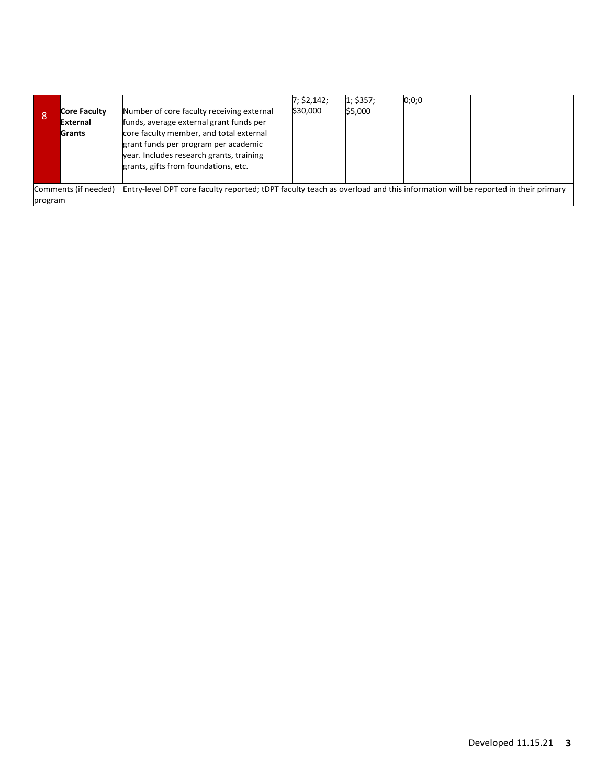| 8       | Core Faculty<br>External<br>Grants | Number of core faculty receiving external<br>funds, average external grant funds per<br>core faculty member, and total external<br>grant funds per program per academic<br>year. Includes research grants, training<br>grants, gifts from foundations, etc. | 7; \$2,142;<br>\$30,000 | 1; \$357;<br>\$5,000 | 0;0;0 |  |
|---------|------------------------------------|-------------------------------------------------------------------------------------------------------------------------------------------------------------------------------------------------------------------------------------------------------------|-------------------------|----------------------|-------|--|
| program | Comments (if needed)               | Entry-level DPT core faculty reported; tDPT faculty teach as overload and this information will be reported in their primary                                                                                                                                |                         |                      |       |  |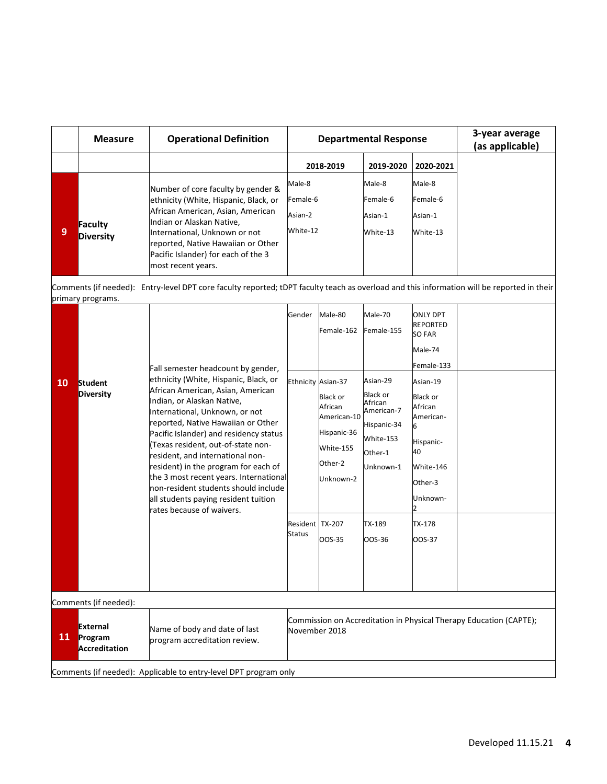|    | <b>Measure</b>              | <b>Operational Definition</b>                                                                                                                                                                                                                                                     | <b>Departmental Response</b>              |                                           |                                           | 3-year average<br>(as applicable) |
|----|-----------------------------|-----------------------------------------------------------------------------------------------------------------------------------------------------------------------------------------------------------------------------------------------------------------------------------|-------------------------------------------|-------------------------------------------|-------------------------------------------|-----------------------------------|
|    |                             |                                                                                                                                                                                                                                                                                   | 2018-2019                                 | 2019-2020                                 | 2020-2021                                 |                                   |
| و، | Faculty<br><b>Diversity</b> | Number of core faculty by gender &<br>ethnicity (White, Hispanic, Black, or<br>African American, Asian, American<br>Indian or Alaskan Native,<br>International, Unknown or not<br>reported, Native Hawaiian or Other<br>Pacific Islander) for each of the 3<br>most recent years. | Male-8<br>Female-6<br>Asian-2<br>White-12 | Male-8<br>Female-6<br>Asian-1<br>White-13 | Male-8<br>Female-6<br>Asian-1<br>White-13 |                                   |

Comments (if needed): Entry-level DPT core faculty reported; tDPT faculty teach as overload and this information will be reported in their primary programs.

| 10 | <b>Student</b><br><b>Diversity</b>                                          | Fall semester headcount by gender,<br>ethnicity (White, Hispanic, Black, or<br>African American, Asian, American<br>Indian, or Alaskan Native,<br>International, Unknown, or not<br>reported, Native Hawaiian or Other<br>Pacific Islander) and residency status<br>Texas resident, out-of-state non-<br>resident, and international non-<br>resident) in the program for each of<br>the 3 most recent years. International<br>non-resident students should include<br>all students paying resident tuition<br>rates because of waivers. | Gender<br>Ethnicity Asian-37<br>Resident TX-207<br><b>Status</b>                    | Male-80<br>Female-162<br>Black or<br>African<br>American-10<br>Hispanic-36<br>White-155<br>Other-2<br>Unknown-2<br>OOS-35 | Male-70<br>Female-155<br>Asian-29<br><b>Black or</b><br>African<br>American-7<br>Hispanic-34<br>White-153<br>Other-1<br>Unknown-1<br>TX-189<br>OOS-36 | <b>ONLY DPT</b><br><b>REPORTED</b><br><b>SO FAR</b><br>Male-74<br>Female-133<br>Asian-19<br><b>Black or</b><br>African<br>American-<br>6<br>Hispanic-<br>40<br>White-146<br>Other-3<br>Unknown-<br>TX-178<br>OOS-37 |  |  |
|----|-----------------------------------------------------------------------------|------------------------------------------------------------------------------------------------------------------------------------------------------------------------------------------------------------------------------------------------------------------------------------------------------------------------------------------------------------------------------------------------------------------------------------------------------------------------------------------------------------------------------------------|-------------------------------------------------------------------------------------|---------------------------------------------------------------------------------------------------------------------------|-------------------------------------------------------------------------------------------------------------------------------------------------------|---------------------------------------------------------------------------------------------------------------------------------------------------------------------------------------------------------------------|--|--|
| 11 | Comments (if needed):<br><b>External</b><br>Program<br><b>Accreditation</b> | Name of body and date of last<br>program accreditation review.                                                                                                                                                                                                                                                                                                                                                                                                                                                                           | Commission on Accreditation in Physical Therapy Education (CAPTE);<br>November 2018 |                                                                                                                           |                                                                                                                                                       |                                                                                                                                                                                                                     |  |  |

Comments (if needed): Applicable to entry-level DPT program only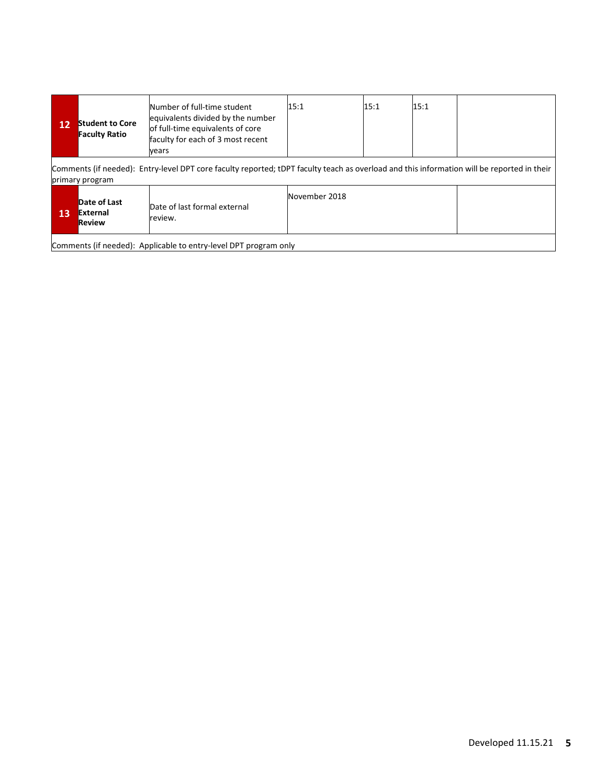| 12                                                                                                                                                            | <b>Student to Core</b><br><b>Faculty Ratio</b> | Number of full-time student<br>equivalents divided by the number<br>of full-time equivalents of core<br>faculty for each of 3 most recent<br>vears | 15:1          | 15:1 | 15:1 |  |
|---------------------------------------------------------------------------------------------------------------------------------------------------------------|------------------------------------------------|----------------------------------------------------------------------------------------------------------------------------------------------------|---------------|------|------|--|
| Comments (if needed): Entry-level DPT core faculty reported; tDPT faculty teach as overload and this information will be reported in their<br>primary program |                                                |                                                                                                                                                    |               |      |      |  |
| 13                                                                                                                                                            | Date of Last<br><b>External</b><br>Review      | Date of last formal external<br>review.                                                                                                            | November 2018 |      |      |  |

Comments (if needed): Applicable to entry-level DPT program only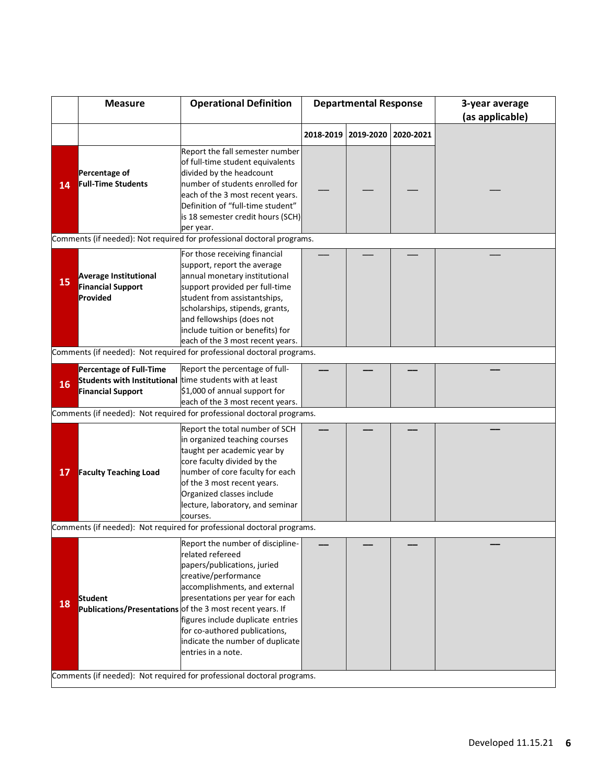|                                                                        | <b>Measure</b>                                                                                                        | <b>Operational Definition</b>                                                                                                                                                                                                                                                                                                                                                |  | <b>Departmental Response</b> |           | 3-year average<br>(as applicable) |  |
|------------------------------------------------------------------------|-----------------------------------------------------------------------------------------------------------------------|------------------------------------------------------------------------------------------------------------------------------------------------------------------------------------------------------------------------------------------------------------------------------------------------------------------------------------------------------------------------------|--|------------------------------|-----------|-----------------------------------|--|
|                                                                        |                                                                                                                       |                                                                                                                                                                                                                                                                                                                                                                              |  | 2018-2019   2019-2020        | 2020-2021 |                                   |  |
| 14                                                                     | Percentage of<br><b>Full-Time Students</b>                                                                            | Report the fall semester number<br>of full-time student equivalents<br>divided by the headcount<br>number of students enrolled for<br>each of the 3 most recent years.<br>Definition of "full-time student"<br>is 18 semester credit hours (SCH)<br>per year.                                                                                                                |  |                              |           |                                   |  |
|                                                                        |                                                                                                                       | Comments (if needed): Not required for professional doctoral programs.                                                                                                                                                                                                                                                                                                       |  |                              |           |                                   |  |
| 15                                                                     | <b>Average Institutional</b><br><b>Financial Support</b><br>Provided                                                  | For those receiving financial<br>support, report the average<br>annual monetary institutional<br>support provided per full-time<br>student from assistantships,<br>scholarships, stipends, grants,<br>and fellowships (does not<br>include tuition or benefits) for<br>each of the 3 most recent years.                                                                      |  |                              |           |                                   |  |
|                                                                        |                                                                                                                       | Comments (if needed): Not required for professional doctoral programs.                                                                                                                                                                                                                                                                                                       |  |                              |           |                                   |  |
| 16                                                                     | <b>Percentage of Full-Time</b><br>Students with Institutional time students with at least<br><b>Financial Support</b> | Report the percentage of full-<br>\$1,000 of annual support for<br>each of the 3 most recent years.                                                                                                                                                                                                                                                                          |  |                              |           |                                   |  |
|                                                                        |                                                                                                                       | Comments (if needed): Not required for professional doctoral programs.                                                                                                                                                                                                                                                                                                       |  |                              |           |                                   |  |
| 17                                                                     | <b>Faculty Teaching Load</b>                                                                                          | Report the total number of SCH<br>in organized teaching courses<br>taught per academic year by<br>core faculty divided by the<br>number of core faculty for each<br>of the 3 most recent years.<br>Organized classes include<br>lecture, laboratory, and seminar<br>courses.                                                                                                 |  |                              |           |                                   |  |
|                                                                        |                                                                                                                       | Comments (if needed): Not required for professional doctoral programs.                                                                                                                                                                                                                                                                                                       |  |                              |           |                                   |  |
| 18                                                                     | <b>Student</b>                                                                                                        | Report the number of discipline-<br>related refereed<br>papers/publications, juried<br>creative/performance<br>accomplishments, and external<br>presentations per year for each<br>Publications/Presentations of the 3 most recent years. If<br>figures include duplicate entries<br>for co-authored publications,<br>indicate the number of duplicate<br>entries in a note. |  |                              |           |                                   |  |
| Comments (if needed): Not required for professional doctoral programs. |                                                                                                                       |                                                                                                                                                                                                                                                                                                                                                                              |  |                              |           |                                   |  |